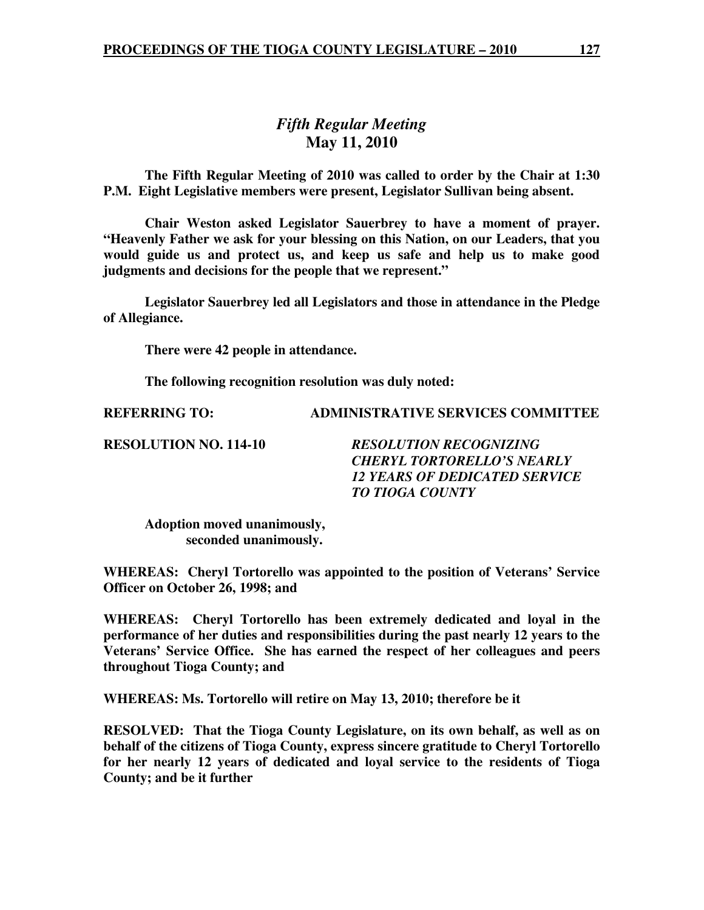# *Fifth Regular Meeting*  **May 11, 2010**

 **The Fifth Regular Meeting of 2010 was called to order by the Chair at 1:30 P.M. Eight Legislative members were present, Legislator Sullivan being absent.** 

**Chair Weston asked Legislator Sauerbrey to have a moment of prayer. "Heavenly Father we ask for your blessing on this Nation, on our Leaders, that you would guide us and protect us, and keep us safe and help us to make good judgments and decisions for the people that we represent."** 

 **Legislator Sauerbrey led all Legislators and those in attendance in the Pledge of Allegiance.** 

 **There were 42 people in attendance.** 

 **The following recognition resolution was duly noted:** 

**REFERRING TO: ADMINISTRATIVE SERVICES COMMITTEE** 

**RESOLUTION NO. 114-10** *RESOLUTION RECOGNIZING CHERYL TORTORELLO'S NEARLY 12 YEARS OF DEDICATED SERVICE TO TIOGA COUNTY* 

 **Adoption moved unanimously, seconded unanimously.** 

**WHEREAS: Cheryl Tortorello was appointed to the position of Veterans' Service Officer on October 26, 1998; and** 

**WHEREAS: Cheryl Tortorello has been extremely dedicated and loyal in the performance of her duties and responsibilities during the past nearly 12 years to the Veterans' Service Office. She has earned the respect of her colleagues and peers throughout Tioga County; and** 

**WHEREAS: Ms. Tortorello will retire on May 13, 2010; therefore be it** 

**RESOLVED: That the Tioga County Legislature, on its own behalf, as well as on behalf of the citizens of Tioga County, express sincere gratitude to Cheryl Tortorello for her nearly 12 years of dedicated and loyal service to the residents of Tioga County; and be it further**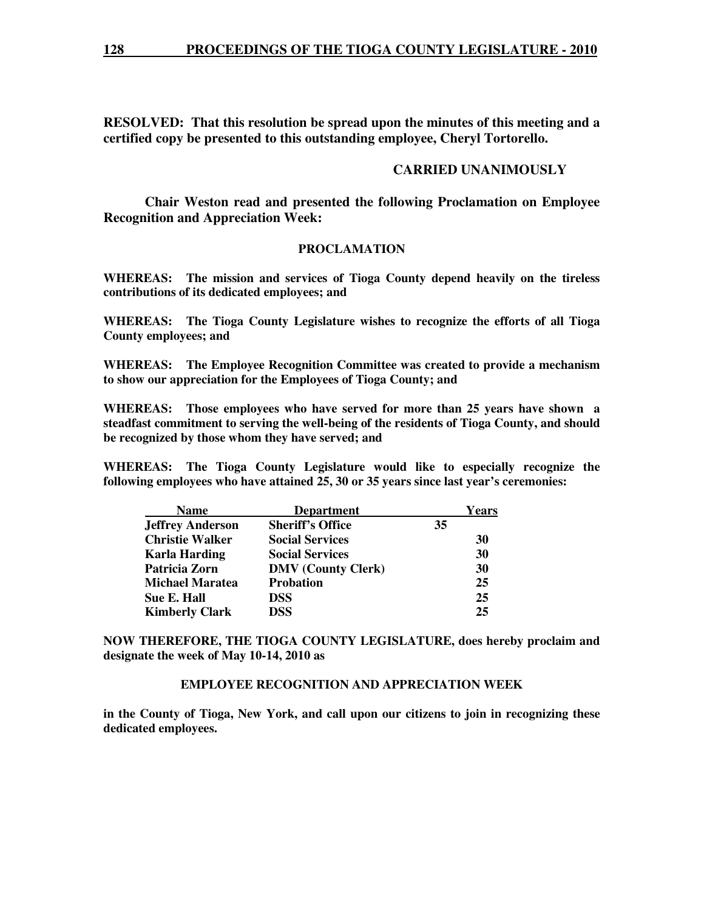**RESOLVED: That this resolution be spread upon the minutes of this meeting and a certified copy be presented to this outstanding employee, Cheryl Tortorello.** 

# **CARRIED UNANIMOUSLY**

 **Chair Weston read and presented the following Proclamation on Employee Recognition and Appreciation Week:** 

#### **PROCLAMATION**

**WHEREAS: The mission and services of Tioga County depend heavily on the tireless contributions of its dedicated employees; and** 

**WHEREAS: The Tioga County Legislature wishes to recognize the efforts of all Tioga County employees; and** 

**WHEREAS: The Employee Recognition Committee was created to provide a mechanism to show our appreciation for the Employees of Tioga County; and** 

**WHEREAS: Those employees who have served for more than 25 years have shown a steadfast commitment to serving the well-being of the residents of Tioga County, and should be recognized by those whom they have served; and** 

**WHEREAS: The Tioga County Legislature would like to especially recognize the following employees who have attained 25, 30 or 35 years since last year's ceremonies:** 

| <b>Name</b>             | <b>Department</b>         | Years |
|-------------------------|---------------------------|-------|
| <b>Jeffrey Anderson</b> | <b>Sheriff's Office</b>   | 35    |
| <b>Christie Walker</b>  | <b>Social Services</b>    | 30    |
| <b>Karla Harding</b>    | <b>Social Services</b>    | 30    |
| Patricia Zorn           | <b>DMV</b> (County Clerk) | 30    |
| <b>Michael Maratea</b>  | <b>Probation</b>          | 25    |
| Sue E. Hall             | <b>DSS</b>                | 25    |
| <b>Kimberly Clark</b>   | <b>DSS</b>                | 25    |

**NOW THEREFORE, THE TIOGA COUNTY LEGISLATURE, does hereby proclaim and designate the week of May 10-14, 2010 as** 

### **EMPLOYEE RECOGNITION AND APPRECIATION WEEK**

**in the County of Tioga, New York, and call upon our citizens to join in recognizing these dedicated employees.**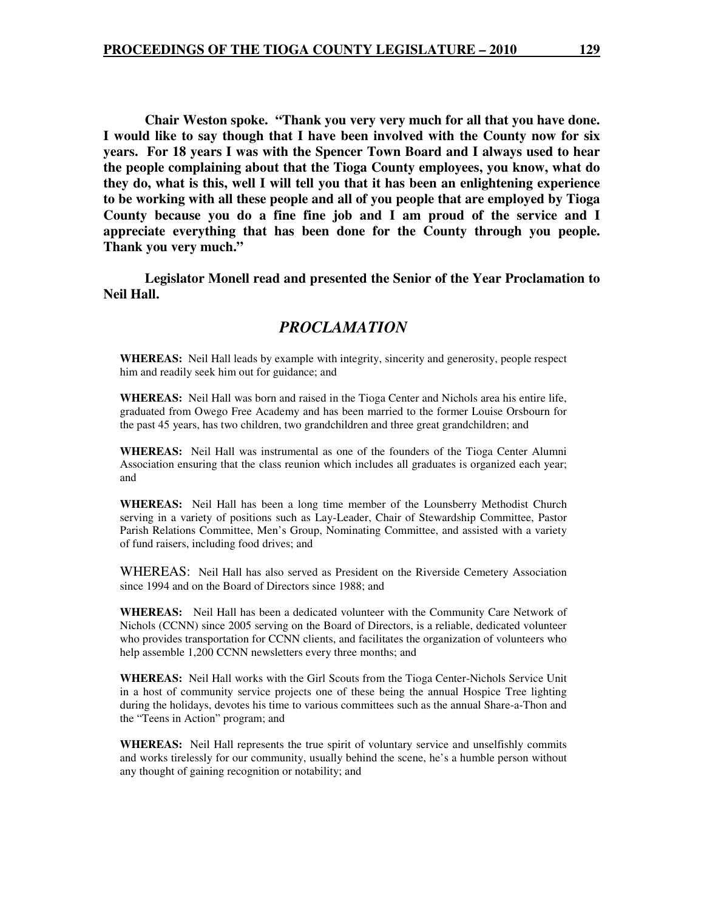**Chair Weston spoke. "Thank you very very much for all that you have done. I would like to say though that I have been involved with the County now for six years. For 18 years I was with the Spencer Town Board and I always used to hear the people complaining about that the Tioga County employees, you know, what do they do, what is this, well I will tell you that it has been an enlightening experience to be working with all these people and all of you people that are employed by Tioga County because you do a fine fine job and I am proud of the service and I appreciate everything that has been done for the County through you people. Thank you very much."** 

 **Legislator Monell read and presented the Senior of the Year Proclamation to Neil Hall.** 

# *PROCLAMATION*

**WHEREAS:** Neil Hall leads by example with integrity, sincerity and generosity, people respect him and readily seek him out for guidance; and

**WHEREAS:** Neil Hall was born and raised in the Tioga Center and Nichols area his entire life, graduated from Owego Free Academy and has been married to the former Louise Orsbourn for the past 45 years, has two children, two grandchildren and three great grandchildren; and

**WHEREAS:** Neil Hall was instrumental as one of the founders of the Tioga Center Alumni Association ensuring that the class reunion which includes all graduates is organized each year; and

**WHEREAS:** Neil Hall has been a long time member of the Lounsberry Methodist Church serving in a variety of positions such as Lay-Leader, Chair of Stewardship Committee, Pastor Parish Relations Committee, Men's Group, Nominating Committee, and assisted with a variety of fund raisers, including food drives; and

WHEREAS: Neil Hall has also served as President on the Riverside Cemetery Association since 1994 and on the Board of Directors since 1988; and

**WHEREAS:** Neil Hall has been a dedicated volunteer with the Community Care Network of Nichols (CCNN) since 2005 serving on the Board of Directors, is a reliable, dedicated volunteer who provides transportation for CCNN clients, and facilitates the organization of volunteers who help assemble 1,200 CCNN newsletters every three months; and

**WHEREAS:** Neil Hall works with the Girl Scouts from the Tioga Center-Nichols Service Unit in a host of community service projects one of these being the annual Hospice Tree lighting during the holidays, devotes his time to various committees such as the annual Share-a-Thon and the "Teens in Action" program; and

**WHEREAS:** Neil Hall represents the true spirit of voluntary service and unselfishly commits and works tirelessly for our community, usually behind the scene, he's a humble person without any thought of gaining recognition or notability; and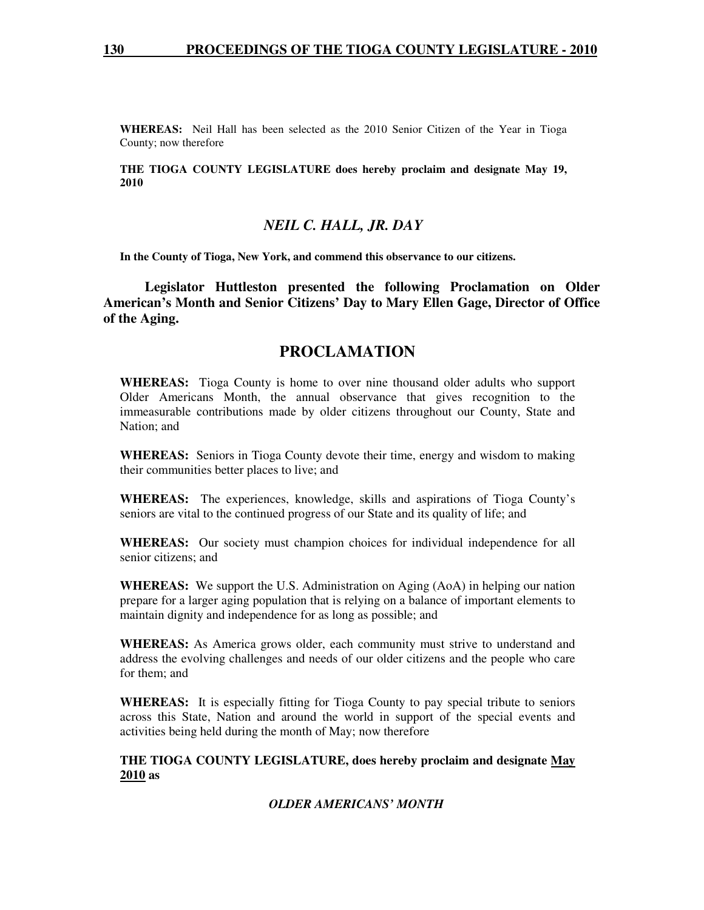**WHEREAS:** Neil Hall has been selected as the 2010 Senior Citizen of the Year in Tioga County; now therefore

**THE TIOGA COUNTY LEGISLATURE does hereby proclaim and designate May 19, 2010** 

# *NEIL C. HALL, JR. DAY*

**In the County of Tioga, New York, and commend this observance to our citizens.** 

 **Legislator Huttleston presented the following Proclamation on Older American's Month and Senior Citizens' Day to Mary Ellen Gage, Director of Office of the Aging.** 

# **PROCLAMATION**

**WHEREAS:** Tioga County is home to over nine thousand older adults who support Older Americans Month, the annual observance that gives recognition to the immeasurable contributions made by older citizens throughout our County, State and Nation; and

**WHEREAS:** Seniors in Tioga County devote their time, energy and wisdom to making their communities better places to live; and

**WHEREAS:** The experiences, knowledge, skills and aspirations of Tioga County's seniors are vital to the continued progress of our State and its quality of life; and

**WHEREAS:** Our society must champion choices for individual independence for all senior citizens; and

**WHEREAS:** We support the U.S. Administration on Aging (AoA) in helping our nation prepare for a larger aging population that is relying on a balance of important elements to maintain dignity and independence for as long as possible; and

**WHEREAS:** As America grows older, each community must strive to understand and address the evolving challenges and needs of our older citizens and the people who care for them; and

**WHEREAS:** It is especially fitting for Tioga County to pay special tribute to seniors across this State, Nation and around the world in support of the special events and activities being held during the month of May; now therefore

#### **THE TIOGA COUNTY LEGISLATURE, does hereby proclaim and designate May 2010 as**

#### *OLDER AMERICANS' MONTH*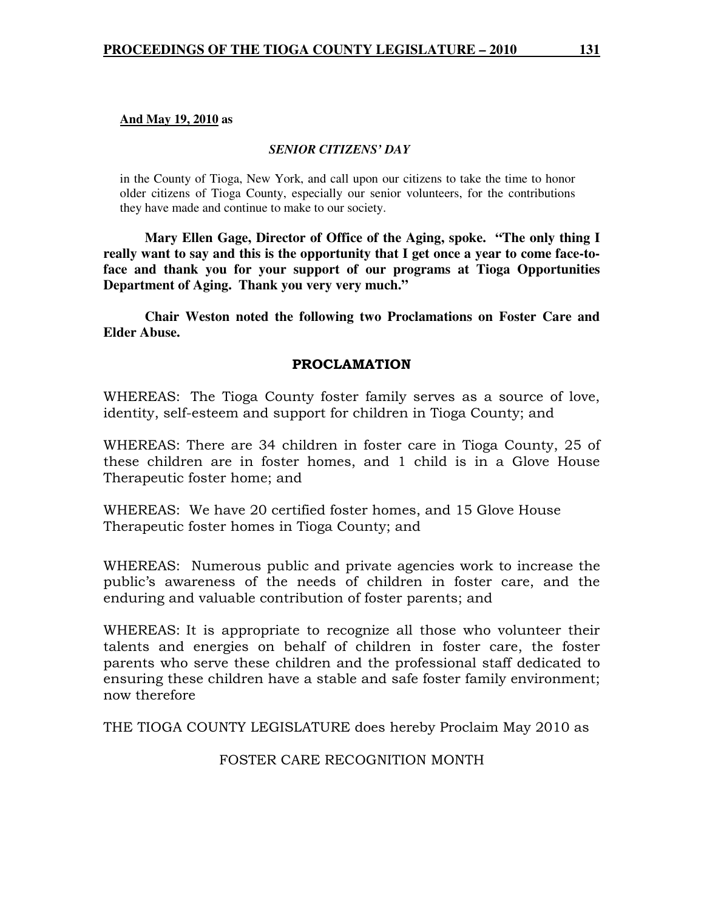#### **And May 19, 2010 as**

#### *SENIOR CITIZENS' DAY*

in the County of Tioga, New York, and call upon our citizens to take the time to honor older citizens of Tioga County, especially our senior volunteers, for the contributions they have made and continue to make to our society.

 **Mary Ellen Gage, Director of Office of the Aging, spoke. "The only thing I really want to say and this is the opportunity that I get once a year to come face-toface and thank you for your support of our programs at Tioga Opportunities Department of Aging. Thank you very very much."** 

 **Chair Weston noted the following two Proclamations on Foster Care and Elder Abuse.** 

#### PROCLAMATION

WHEREAS: The Tioga County foster family serves as a source of love, identity, self-esteem and support for children in Tioga County; and

WHEREAS: There are 34 children in foster care in Tioga County, 25 of these children are in foster homes, and 1 child is in a Glove House Therapeutic foster home; and

WHEREAS: We have 20 certified foster homes, and 15 Glove House Therapeutic foster homes in Tioga County; and

WHEREAS: Numerous public and private agencies work to increase the public's awareness of the needs of children in foster care, and the enduring and valuable contribution of foster parents; and

WHEREAS: It is appropriate to recognize all those who volunteer their talents and energies on behalf of children in foster care, the foster parents who serve these children and the professional staff dedicated to ensuring these children have a stable and safe foster family environment; now therefore

THE TIOGA COUNTY LEGISLATURE does hereby Proclaim May 2010 as

# FOSTER CARE RECOGNITION MONTH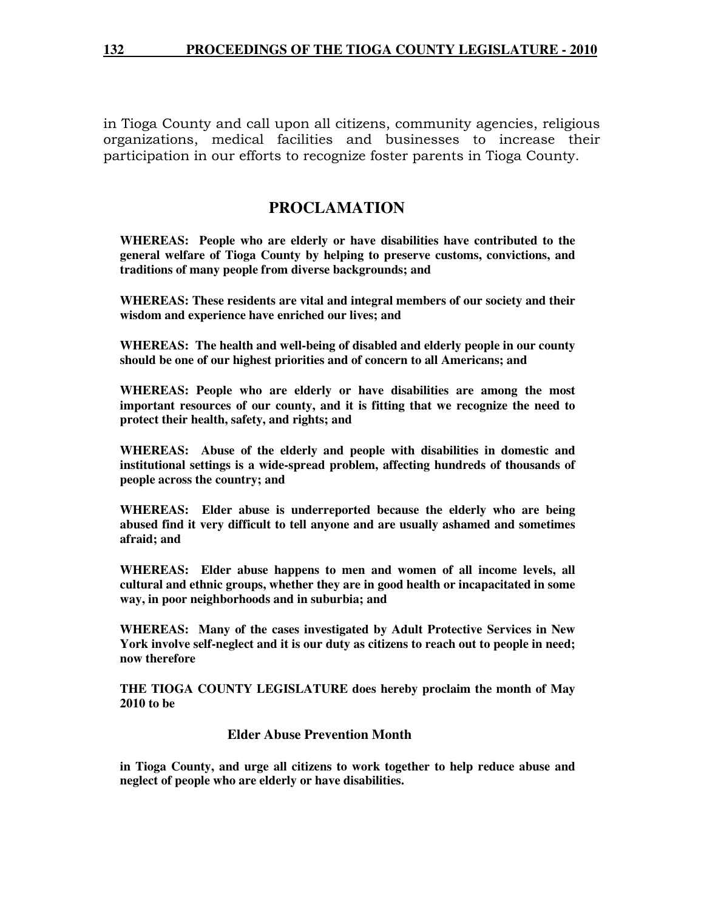in Tioga County and call upon all citizens, community agencies, religious organizations, medical facilities and businesses to increase their participation in our efforts to recognize foster parents in Tioga County.

# **PROCLAMATION**

**WHEREAS: People who are elderly or have disabilities have contributed to the general welfare of Tioga County by helping to preserve customs, convictions, and traditions of many people from diverse backgrounds; and** 

**WHEREAS: These residents are vital and integral members of our society and their wisdom and experience have enriched our lives; and** 

**WHEREAS: The health and well-being of disabled and elderly people in our county should be one of our highest priorities and of concern to all Americans; and** 

**WHEREAS: People who are elderly or have disabilities are among the most important resources of our county, and it is fitting that we recognize the need to protect their health, safety, and rights; and** 

**WHEREAS: Abuse of the elderly and people with disabilities in domestic and institutional settings is a wide-spread problem, affecting hundreds of thousands of people across the country; and** 

**WHEREAS: Elder abuse is underreported because the elderly who are being abused find it very difficult to tell anyone and are usually ashamed and sometimes afraid; and** 

**WHEREAS: Elder abuse happens to men and women of all income levels, all cultural and ethnic groups, whether they are in good health or incapacitated in some way, in poor neighborhoods and in suburbia; and** 

**WHEREAS: Many of the cases investigated by Adult Protective Services in New York involve self-neglect and it is our duty as citizens to reach out to people in need; now therefore** 

**THE TIOGA COUNTY LEGISLATURE does hereby proclaim the month of May 2010 to be** 

### **Elder Abuse Prevention Month**

**in Tioga County, and urge all citizens to work together to help reduce abuse and neglect of people who are elderly or have disabilities.**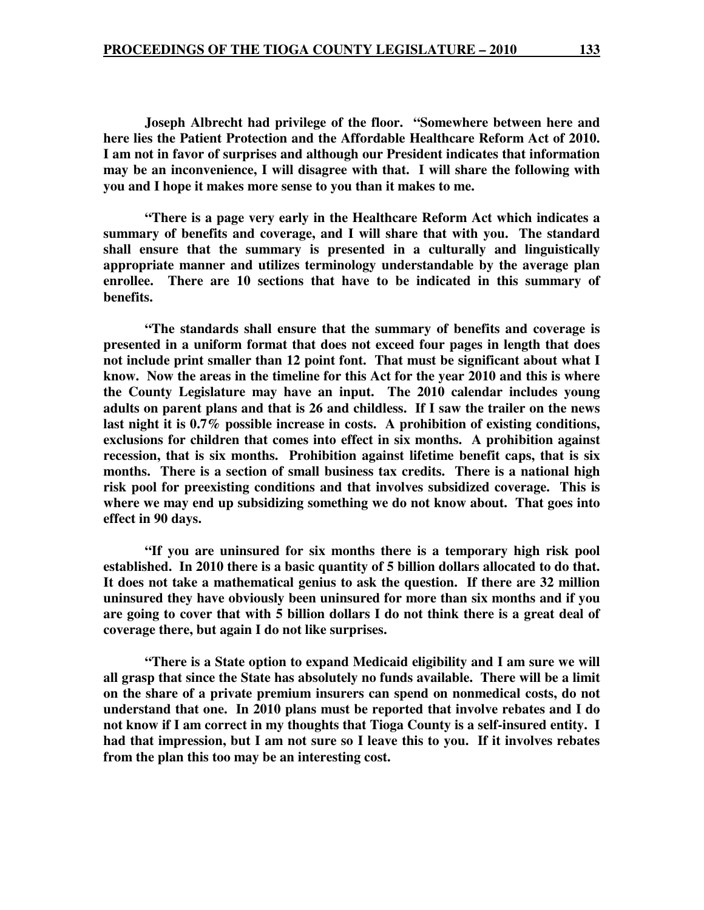**Joseph Albrecht had privilege of the floor. "Somewhere between here and here lies the Patient Protection and the Affordable Healthcare Reform Act of 2010. I am not in favor of surprises and although our President indicates that information may be an inconvenience, I will disagree with that. I will share the following with you and I hope it makes more sense to you than it makes to me.** 

 **"There is a page very early in the Healthcare Reform Act which indicates a summary of benefits and coverage, and I will share that with you. The standard shall ensure that the summary is presented in a culturally and linguistically appropriate manner and utilizes terminology understandable by the average plan enrollee. There are 10 sections that have to be indicated in this summary of benefits.** 

 **"The standards shall ensure that the summary of benefits and coverage is presented in a uniform format that does not exceed four pages in length that does not include print smaller than 12 point font. That must be significant about what I know. Now the areas in the timeline for this Act for the year 2010 and this is where the County Legislature may have an input. The 2010 calendar includes young adults on parent plans and that is 26 and childless. If I saw the trailer on the news last night it is 0.7% possible increase in costs. A prohibition of existing conditions, exclusions for children that comes into effect in six months. A prohibition against recession, that is six months. Prohibition against lifetime benefit caps, that is six months. There is a section of small business tax credits. There is a national high risk pool for preexisting conditions and that involves subsidized coverage. This is where we may end up subsidizing something we do not know about. That goes into effect in 90 days.** 

 **"If you are uninsured for six months there is a temporary high risk pool established. In 2010 there is a basic quantity of 5 billion dollars allocated to do that. It does not take a mathematical genius to ask the question. If there are 32 million uninsured they have obviously been uninsured for more than six months and if you are going to cover that with 5 billion dollars I do not think there is a great deal of coverage there, but again I do not like surprises.** 

 **"There is a State option to expand Medicaid eligibility and I am sure we will all grasp that since the State has absolutely no funds available. There will be a limit on the share of a private premium insurers can spend on nonmedical costs, do not understand that one. In 2010 plans must be reported that involve rebates and I do not know if I am correct in my thoughts that Tioga County is a self-insured entity. I had that impression, but I am not sure so I leave this to you. If it involves rebates from the plan this too may be an interesting cost.**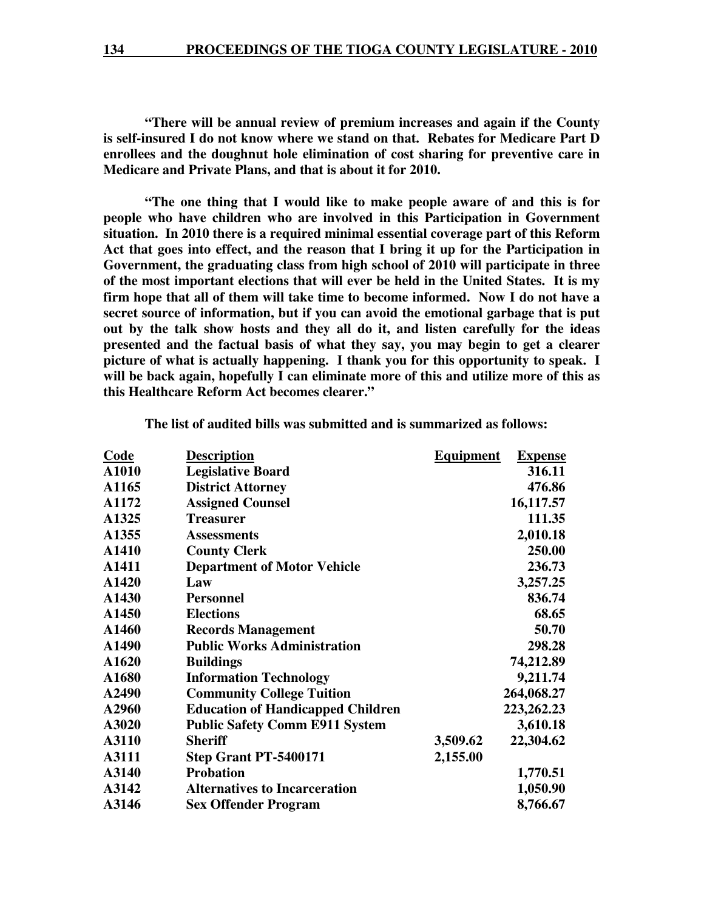**"There will be annual review of premium increases and again if the County is self-insured I do not know where we stand on that. Rebates for Medicare Part D enrollees and the doughnut hole elimination of cost sharing for preventive care in Medicare and Private Plans, and that is about it for 2010.** 

 **"The one thing that I would like to make people aware of and this is for people who have children who are involved in this Participation in Government situation. In 2010 there is a required minimal essential coverage part of this Reform Act that goes into effect, and the reason that I bring it up for the Participation in Government, the graduating class from high school of 2010 will participate in three of the most important elections that will ever be held in the United States. It is my firm hope that all of them will take time to become informed. Now I do not have a secret source of information, but if you can avoid the emotional garbage that is put out by the talk show hosts and they all do it, and listen carefully for the ideas presented and the factual basis of what they say, you may begin to get a clearer picture of what is actually happening. I thank you for this opportunity to speak. I will be back again, hopefully I can eliminate more of this and utilize more of this as this Healthcare Reform Act becomes clearer."** 

| <b>Code</b> | <b>Description</b>                       | <b>Equipment</b> | <b>Expense</b> |
|-------------|------------------------------------------|------------------|----------------|
| A1010       | <b>Legislative Board</b>                 |                  | 316.11         |
| A1165       | <b>District Attorney</b>                 |                  | 476.86         |
| A1172       | <b>Assigned Counsel</b>                  |                  | 16,117.57      |
| A1325       | <b>Treasurer</b>                         |                  | 111.35         |
| A1355       | <b>Assessments</b>                       |                  | 2,010.18       |
| A1410       | <b>County Clerk</b>                      |                  | 250.00         |
| A1411       | <b>Department of Motor Vehicle</b>       |                  | 236.73         |
| A1420       | Law                                      |                  | 3,257.25       |
| A1430       | <b>Personnel</b>                         |                  | 836.74         |
| A1450       | <b>Elections</b>                         |                  | 68.65          |
| A1460       | <b>Records Management</b>                |                  | 50.70          |
| A1490       | <b>Public Works Administration</b>       |                  | 298.28         |
| A1620       | <b>Buildings</b>                         |                  | 74,212.89      |
| A1680       | <b>Information Technology</b>            |                  | 9,211.74       |
| A2490       | <b>Community College Tuition</b>         |                  | 264,068.27     |
| A2960       | <b>Education of Handicapped Children</b> |                  | 223, 262. 23   |
| A3020       | <b>Public Safety Comm E911 System</b>    |                  | 3,610.18       |
| A3110       | <b>Sheriff</b>                           | 3,509.62         | 22,304.62      |
| A3111       | Step Grant PT-5400171                    | 2,155.00         |                |
| A3140       | <b>Probation</b>                         |                  | 1,770.51       |
| A3142       | <b>Alternatives to Incarceration</b>     |                  | 1,050.90       |
| A3146       | <b>Sex Offender Program</b>              |                  | 8,766.67       |
|             |                                          |                  |                |

 **The list of audited bills was submitted and is summarized as follows:**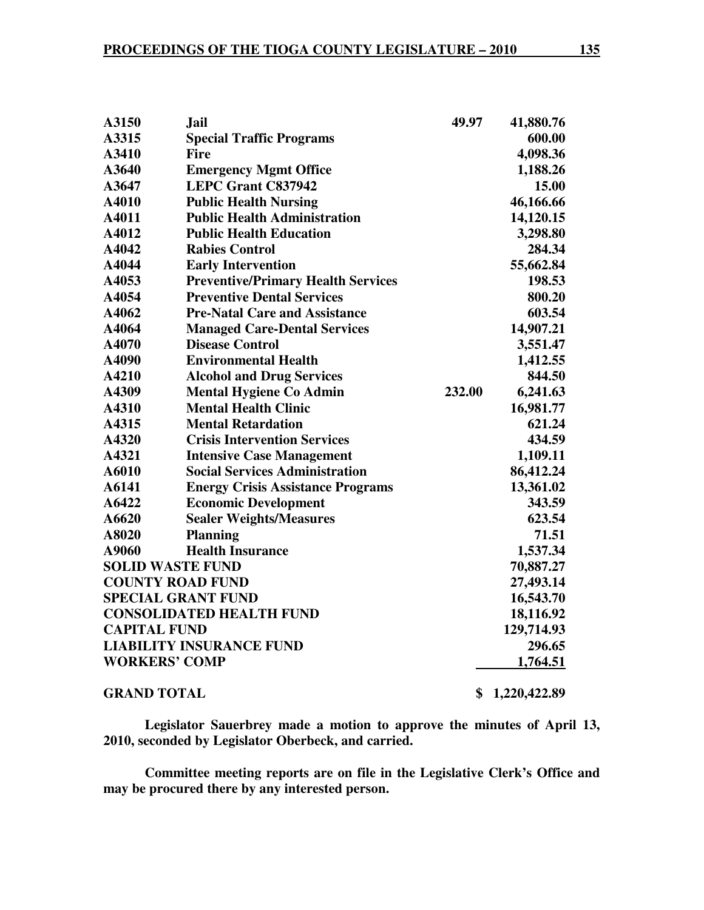| A3150                     | <b>Jail</b>                               | 49.97  | 41,880.76    |
|---------------------------|-------------------------------------------|--------|--------------|
| A3315                     | <b>Special Traffic Programs</b>           |        | 600.00       |
| A3410                     | Fire                                      |        | 4,098.36     |
| A3640                     | <b>Emergency Mgmt Office</b>              |        | 1,188.26     |
| A3647                     | <b>LEPC Grant C837942</b>                 |        | 15.00        |
| A4010                     | <b>Public Health Nursing</b>              |        | 46,166.66    |
| A4011                     | <b>Public Health Administration</b>       |        | 14,120.15    |
| A4012                     | <b>Public Health Education</b>            |        | 3,298.80     |
| A4042                     | <b>Rabies Control</b>                     |        | 284.34       |
| A4044                     | <b>Early Intervention</b>                 |        | 55,662.84    |
| A4053                     | <b>Preventive/Primary Health Services</b> |        | 198.53       |
| A4054                     | <b>Preventive Dental Services</b>         |        | 800.20       |
| A4062                     | <b>Pre-Natal Care and Assistance</b>      |        | 603.54       |
| A4064                     | <b>Managed Care-Dental Services</b>       |        | 14,907.21    |
| A4070                     | <b>Disease Control</b>                    |        | 3,551.47     |
| A4090                     | <b>Environmental Health</b>               |        | 1,412.55     |
| A4210                     | <b>Alcohol and Drug Services</b>          |        | 844.50       |
| A4309                     | <b>Mental Hygiene Co Admin</b>            | 232.00 | 6,241.63     |
| A4310                     | <b>Mental Health Clinic</b>               |        | 16,981.77    |
| A4315                     | <b>Mental Retardation</b>                 |        | 621.24       |
| A4320                     | <b>Crisis Intervention Services</b>       |        | 434.59       |
| A4321                     | <b>Intensive Case Management</b>          |        | 1,109.11     |
| A6010                     | <b>Social Services Administration</b>     |        | 86,412.24    |
| A6141                     | <b>Energy Crisis Assistance Programs</b>  |        | 13,361.02    |
| A6422                     | <b>Economic Development</b>               |        | 343.59       |
| A6620                     | <b>Sealer Weights/Measures</b>            |        | 623.54       |
| A8020                     | <b>Planning</b>                           |        | 71.51        |
| A9060                     | <b>Health Insurance</b>                   |        | 1,537.34     |
| <b>SOLID WASTE FUND</b>   |                                           |        | 70,887.27    |
| <b>COUNTY ROAD FUND</b>   |                                           |        | 27,493.14    |
| <b>SPECIAL GRANT FUND</b> |                                           |        | 16,543.70    |
|                           | <b>CONSOLIDATED HEALTH FUND</b>           |        | 18,116.92    |
| <b>CAPITAL FUND</b>       |                                           |        | 129,714.93   |
|                           | <b>LIABILITY INSURANCE FUND</b>           |        | 296.65       |
| <b>WORKERS' COMP</b>      |                                           |        | 1,764.51     |
| <b>GRAND TOTAL</b>        |                                           | \$     | 1,220,422.89 |

**Legislator Sauerbrey made a motion to approve the minutes of April 13, 2010, seconded by Legislator Oberbeck, and carried.**

**Committee meeting reports are on file in the Legislative Clerk's Office and may be procured there by any interested person.**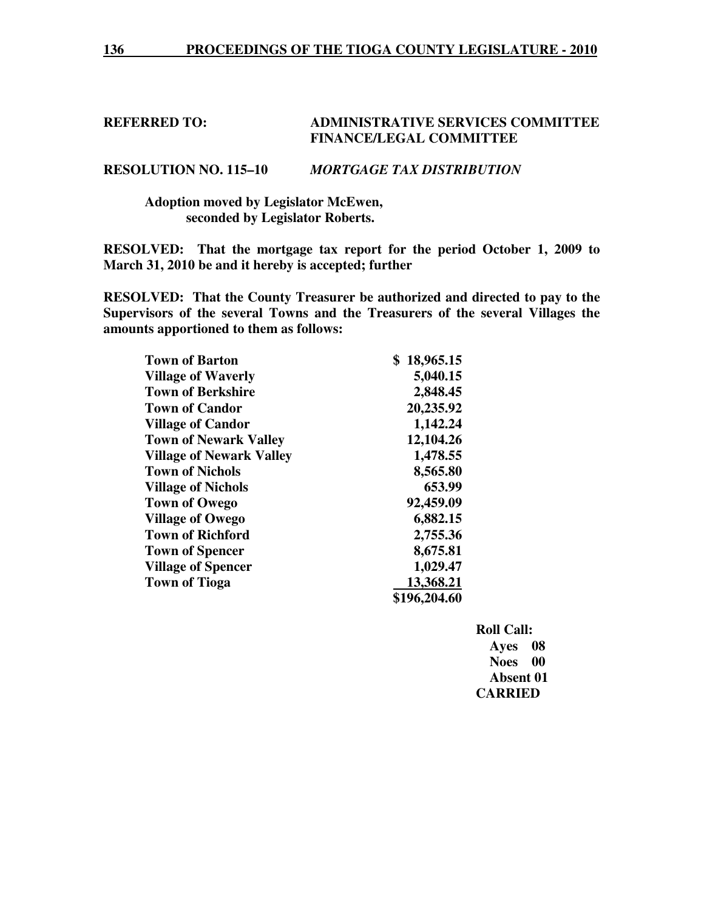# **REFERRED TO: ADMINISTRATIVE SERVICES COMMITTEE FINANCE/LEGAL COMMITTEE**

# **RESOLUTION NO. 115–10** *MORTGAGE TAX DISTRIBUTION*

# **Adoption moved by Legislator McEwen, seconded by Legislator Roberts.**

**RESOLVED: That the mortgage tax report for the period October 1, 2009 to March 31, 2010 be and it hereby is accepted; further** 

**RESOLVED: That the County Treasurer be authorized and directed to pay to the Supervisors of the several Towns and the Treasurers of the several Villages the amounts apportioned to them as follows:** 

| <b>Town of Barton</b>           | \$<br>18,965.15 |
|---------------------------------|-----------------|
| <b>Village of Waverly</b>       | 5,040.15        |
| <b>Town of Berkshire</b>        | 2,848.45        |
| <b>Town of Candor</b>           | 20,235.92       |
| <b>Village of Candor</b>        | 1,142.24        |
| <b>Town of Newark Valley</b>    | 12,104.26       |
| <b>Village of Newark Valley</b> | 1,478.55        |
| <b>Town of Nichols</b>          | 8,565.80        |
| <b>Village of Nichols</b>       | 653.99          |
| <b>Town of Owego</b>            | 92,459.09       |
| <b>Village of Owego</b>         | 6,882.15        |
| <b>Town of Richford</b>         | 2,755.36        |
| <b>Town of Spencer</b>          | 8,675.81        |
| <b>Village of Spencer</b>       | 1,029.47        |
| <b>Town of Tioga</b>            | 13,368.21       |
|                                 | \$196,204.60    |

 **Roll Call: Ayes 08 Noes 00 Absent 01 CARRIED**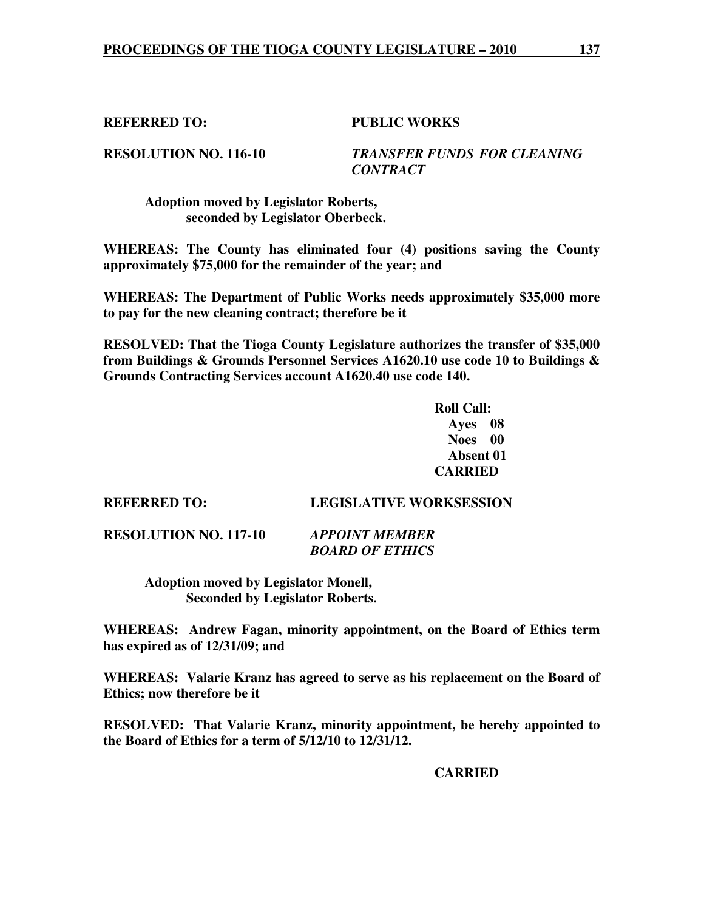# **REFERRED TO: PUBLIC WORKS**

**RESOLUTION NO. 116-10** *TRANSFER FUNDS FOR CLEANING CONTRACT* 

 **Adoption moved by Legislator Roberts, seconded by Legislator Oberbeck.** 

**WHEREAS: The County has eliminated four (4) positions saving the County approximately \$75,000 for the remainder of the year; and** 

**WHEREAS: The Department of Public Works needs approximately \$35,000 more to pay for the new cleaning contract; therefore be it** 

**RESOLVED: That the Tioga County Legislature authorizes the transfer of \$35,000 from Buildings & Grounds Personnel Services A1620.10 use code 10 to Buildings & Grounds Contracting Services account A1620.40 use code 140.** 

> **Roll Call: Ayes 08 Noes 00 Absent 01 CARRIED**

**REFERRED TO: LEGISLATIVE WORKSESSION** 

**RESOLUTION NO. 117-10** *APPOINT MEMBER* 

 *BOARD OF ETHICS* 

 **Adoption moved by Legislator Monell, Seconded by Legislator Roberts.** 

**WHEREAS: Andrew Fagan, minority appointment, on the Board of Ethics term has expired as of 12/31/09; and** 

**WHEREAS: Valarie Kranz has agreed to serve as his replacement on the Board of Ethics; now therefore be it** 

**RESOLVED: That Valarie Kranz, minority appointment, be hereby appointed to the Board of Ethics for a term of 5/12/10 to 12/31/12.** 

 **CARRIED**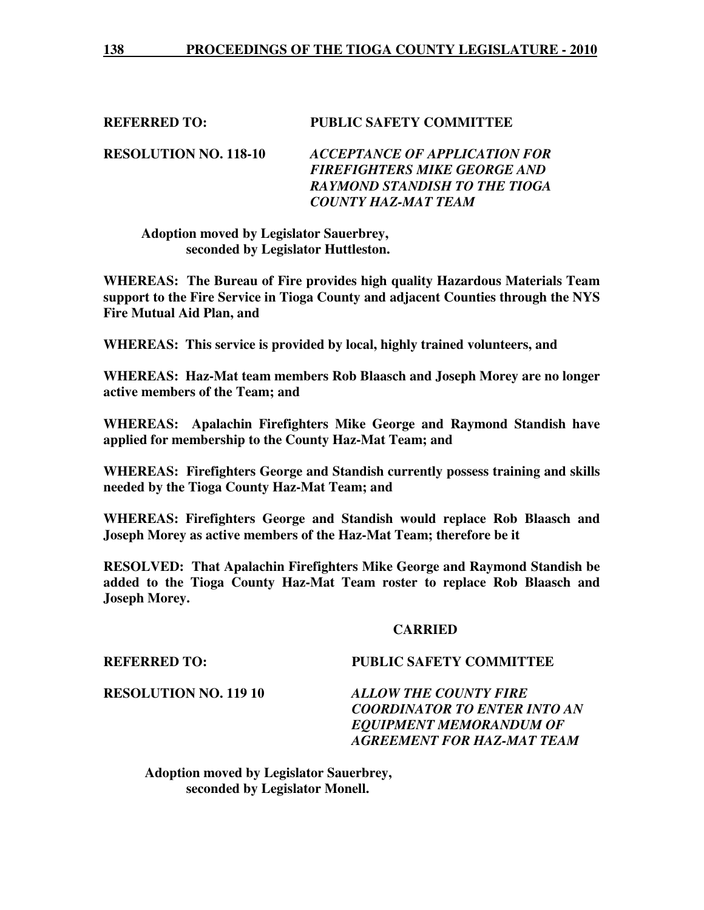# **REFERRED TO: PUBLIC SAFETY COMMITTEE**

**RESOLUTION NO. 118-10** *ACCEPTANCE OF APPLICATION FOR FIREFIGHTERS MIKE GEORGE AND RAYMOND STANDISH TO THE TIOGA COUNTY HAZ-MAT TEAM*

# **Adoption moved by Legislator Sauerbrey, seconded by Legislator Huttleston.**

**WHEREAS: The Bureau of Fire provides high quality Hazardous Materials Team support to the Fire Service in Tioga County and adjacent Counties through the NYS Fire Mutual Aid Plan, and** 

**WHEREAS: This service is provided by local, highly trained volunteers, and** 

**WHEREAS: Haz-Mat team members Rob Blaasch and Joseph Morey are no longer active members of the Team; and** 

**WHEREAS: Apalachin Firefighters Mike George and Raymond Standish have applied for membership to the County Haz-Mat Team; and** 

**WHEREAS: Firefighters George and Standish currently possess training and skills needed by the Tioga County Haz-Mat Team; and** 

**WHEREAS: Firefighters George and Standish would replace Rob Blaasch and Joseph Morey as active members of the Haz-Mat Team; therefore be it** 

**RESOLVED: That Apalachin Firefighters Mike George and Raymond Standish be added to the Tioga County Haz-Mat Team roster to replace Rob Blaasch and Joseph Morey.** 

### **CARRIED**

# **REFERRED TO: PUBLIC SAFETY COMMITTEE**

**RESOLUTION NO. 119 10** *ALLOW THE COUNTY FIRE COORDINATOR TO ENTER INTO AN EQUIPMENT MEMORANDUM OF AGREEMENT FOR HAZ-MAT TEAM*

 **Adoption moved by Legislator Sauerbrey, seconded by Legislator Monell.**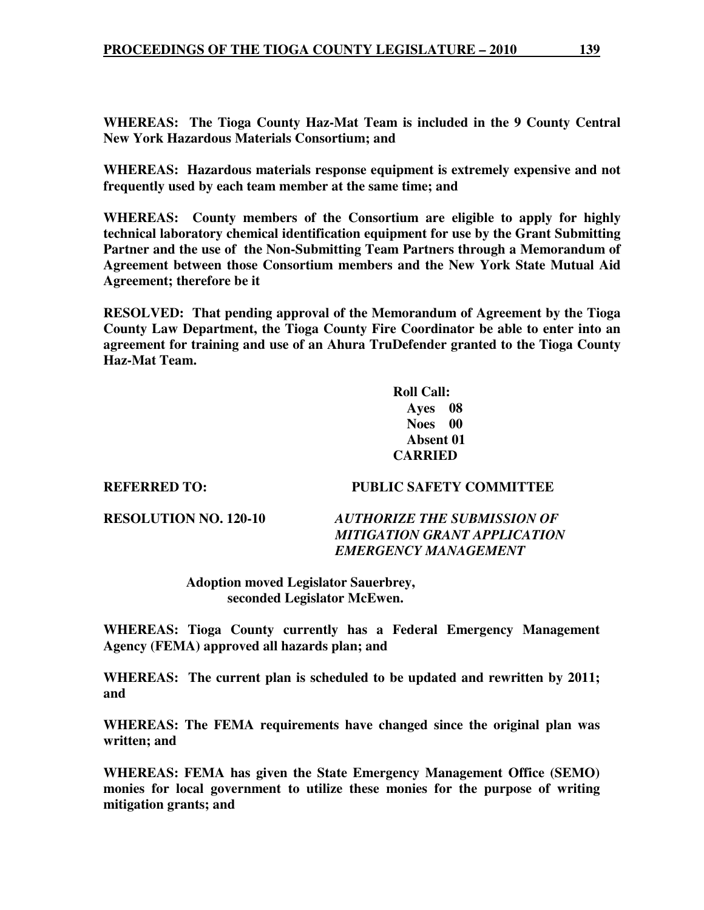**WHEREAS: The Tioga County Haz-Mat Team is included in the 9 County Central New York Hazardous Materials Consortium; and** 

**WHEREAS: Hazardous materials response equipment is extremely expensive and not frequently used by each team member at the same time; and** 

**WHEREAS: County members of the Consortium are eligible to apply for highly technical laboratory chemical identification equipment for use by the Grant Submitting Partner and the use of the Non-Submitting Team Partners through a Memorandum of Agreement between those Consortium members and the New York State Mutual Aid Agreement; therefore be it** 

**RESOLVED: That pending approval of the Memorandum of Agreement by the Tioga County Law Department, the Tioga County Fire Coordinator be able to enter into an agreement for training and use of an Ahura TruDefender granted to the Tioga County Haz-Mat Team.** 

> **Roll Call: Ayes 08 Noes 00 Absent 01 CARRIED**

# **REFERRED TO: PUBLIC SAFETY COMMITTEE**

**RESOLUTION NO. 120-10** *AUTHORIZE THE SUBMISSION OF MITIGATION GRANT APPLICATION EMERGENCY MANAGEMENT* 

> **Adoption moved Legislator Sauerbrey, seconded Legislator McEwen.**

**WHEREAS: Tioga County currently has a Federal Emergency Management Agency (FEMA) approved all hazards plan; and** 

**WHEREAS: The current plan is scheduled to be updated and rewritten by 2011; and** 

**WHEREAS: The FEMA requirements have changed since the original plan was written; and** 

**WHEREAS: FEMA has given the State Emergency Management Office (SEMO) monies for local government to utilize these monies for the purpose of writing mitigation grants; and**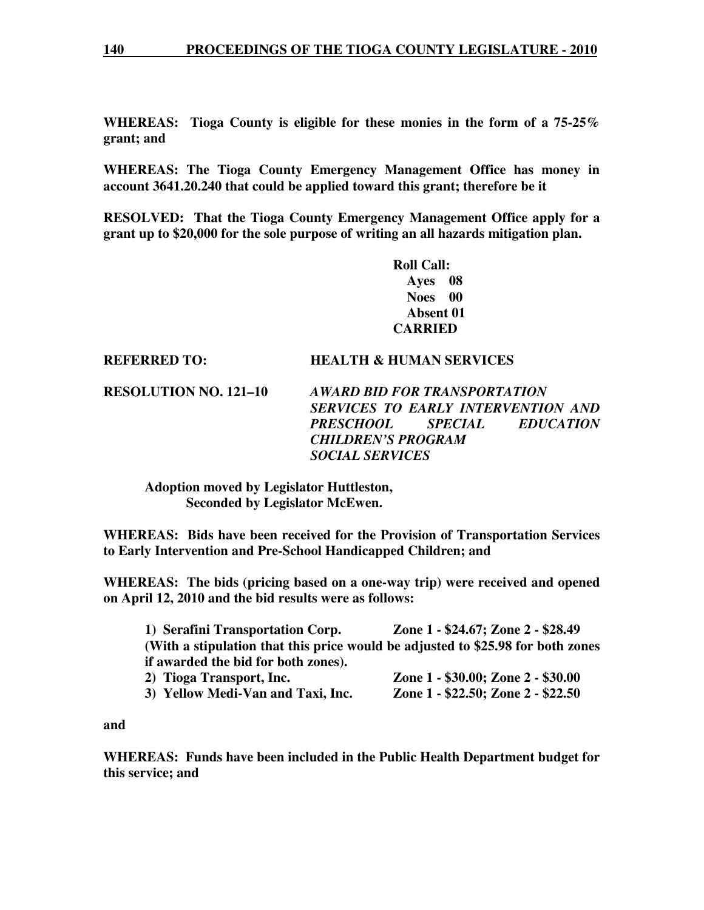**WHEREAS: Tioga County is eligible for these monies in the form of a 75-25% grant; and** 

**WHEREAS: The Tioga County Emergency Management Office has money in account 3641.20.240 that could be applied toward this grant; therefore be it** 

**RESOLVED: That the Tioga County Emergency Management Office apply for a grant up to \$20,000 for the sole purpose of writing an all hazards mitigation plan.** 

> **Roll Call: Ayes 08 Noes 00 Absent 01 CARRIED**

# **REFERRED TO: HEALTH & HUMAN SERVICES**

**RESOLUTION NO. 121–10** *AWARD BID FOR TRANSPORTATION SERVICES TO EARLY INTERVENTION AND PRESCHOOL SPECIAL EDUCATION CHILDREN'S PROGRAM SOCIAL SERVICES* 

 **Adoption moved by Legislator Huttleston, Seconded by Legislator McEwen.** 

**WHEREAS: Bids have been received for the Provision of Transportation Services to Early Intervention and Pre-School Handicapped Children; and** 

**WHEREAS: The bids (pricing based on a one-way trip) were received and opened on April 12, 2010 and the bid results were as follows:** 

| 1) Serafini Transportation Corp.    | Zone 1 - \$24.67; Zone 2 - \$28.49                                              |
|-------------------------------------|---------------------------------------------------------------------------------|
|                                     | (With a stipulation that this price would be adjusted to \$25.98 for both zones |
| if awarded the bid for both zones). |                                                                                 |
| 2) Tioga Transport, Inc.            | Zone 1 - \$30.00; Zone 2 - \$30.00                                              |
| 3) Yellow Medi-Van and Taxi, Inc.   | Zone 1 - \$22.50; Zone 2 - \$22.50                                              |

**and** 

**WHEREAS: Funds have been included in the Public Health Department budget for this service; and**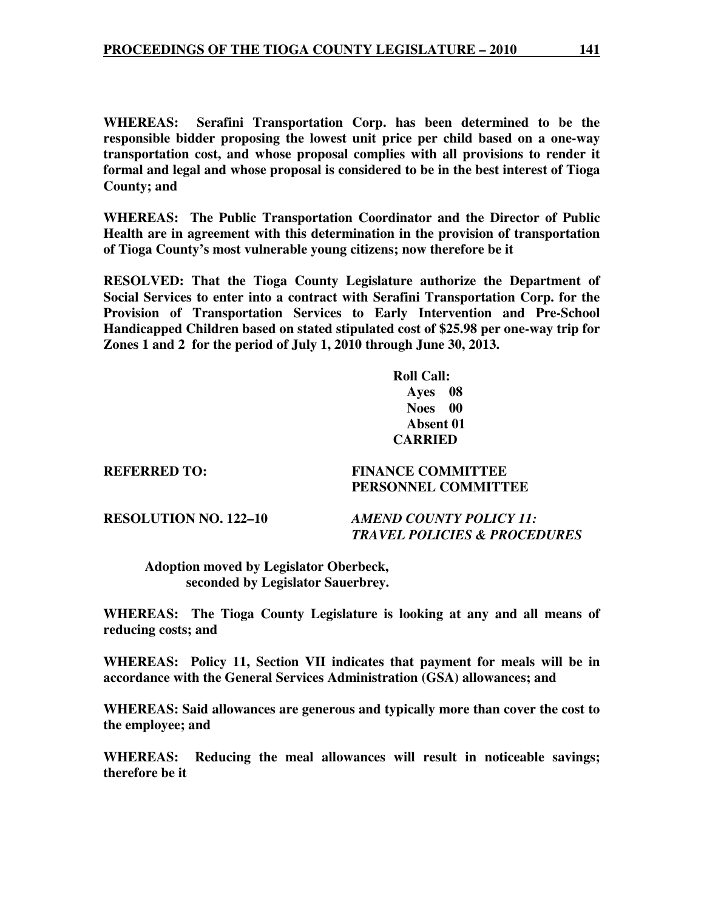**WHEREAS: Serafini Transportation Corp. has been determined to be the responsible bidder proposing the lowest unit price per child based on a one-way transportation cost, and whose proposal complies with all provisions to render it formal and legal and whose proposal is considered to be in the best interest of Tioga County; and** 

**WHEREAS: The Public Transportation Coordinator and the Director of Public Health are in agreement with this determination in the provision of transportation of Tioga County's most vulnerable young citizens; now therefore be it** 

**RESOLVED: That the Tioga County Legislature authorize the Department of Social Services to enter into a contract with Serafini Transportation Corp. for the Provision of Transportation Services to Early Intervention and Pre-School Handicapped Children based on stated stipulated cost of \$25.98 per one-way trip for Zones 1 and 2 for the period of July 1, 2010 through June 30, 2013.** 

> **Roll Call: Ayes 08 Noes 00 Absent 01 CARRIED**

**REFERRED TO: FINANCE COMMITTEE** 

 **PERSONNEL COMMITTEE** 

**RESOLUTION NO. 122–10** *AMEND COUNTY POLICY 11: TRAVEL POLICIES & PROCEDURES* 

 **Adoption moved by Legislator Oberbeck, seconded by Legislator Sauerbrey.** 

**WHEREAS: The Tioga County Legislature is looking at any and all means of reducing costs; and** 

**WHEREAS: Policy 11, Section VII indicates that payment for meals will be in accordance with the General Services Administration (GSA) allowances; and** 

**WHEREAS: Said allowances are generous and typically more than cover the cost to the employee; and** 

**WHEREAS: Reducing the meal allowances will result in noticeable savings; therefore be it**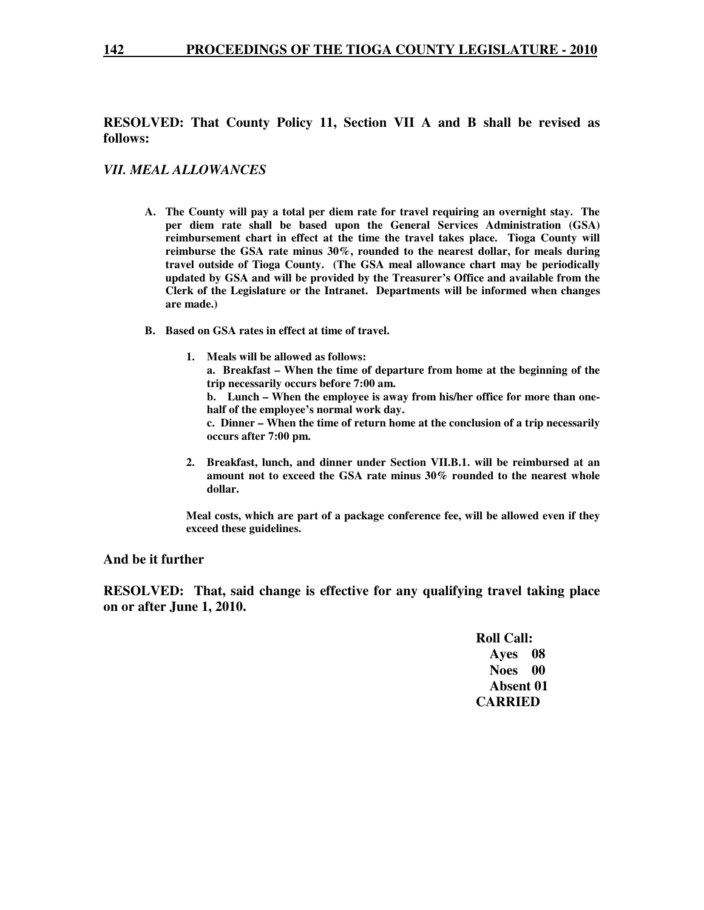#### **142 PROCEEDINGS OF THE TIOGA COUNTY LEGISLATURE - 2010**

# **RESOLVED: That County Policy 11, Section VII A and B shall be revised as follows:**

### *VII. MEAL ALLOWANCES*

- **A. The County will pay a total per diem rate for travel requiring an overnight stay. The per diem rate shall be based upon the General Services Administration (GSA) reimbursement chart in effect at the time the travel takes place. Tioga County will reimburse the GSA rate minus 30%, rounded to the nearest dollar, for meals during travel outside of Tioga County. (The GSA meal allowance chart may be periodically updated by GSA and will be provided by the Treasurer's Office and available from the Clerk of the Legislature or the Intranet. Departments will be informed when changes are made.)**
- **B. Based on GSA rates in effect at time of travel.** 
	- **1. Meals will be allowed as follows: a. Breakfast – When the time of departure from home at the beginning of the trip necessarily occurs before 7:00 am.**

**b. Lunch – When the employee is away from his/her office for more than onehalf of the employee's normal work day.** 

**c. Dinner – When the time of return home at the conclusion of a trip necessarily occurs after 7:00 pm.** 

**2. Breakfast, lunch, and dinner under Section VII.B.1. will be reimbursed at an amount not to exceed the GSA rate minus 30% rounded to the nearest whole dollar.** 

**Meal costs, which are part of a package conference fee, will be allowed even if they exceed these guidelines.** 

### **And be it further**

**RESOLVED: That, said change is effective for any qualifying travel taking place on or after June 1, 2010.** 

 **Roll Call: Ayes 08 Noes 00 Absent 01 CARRIED**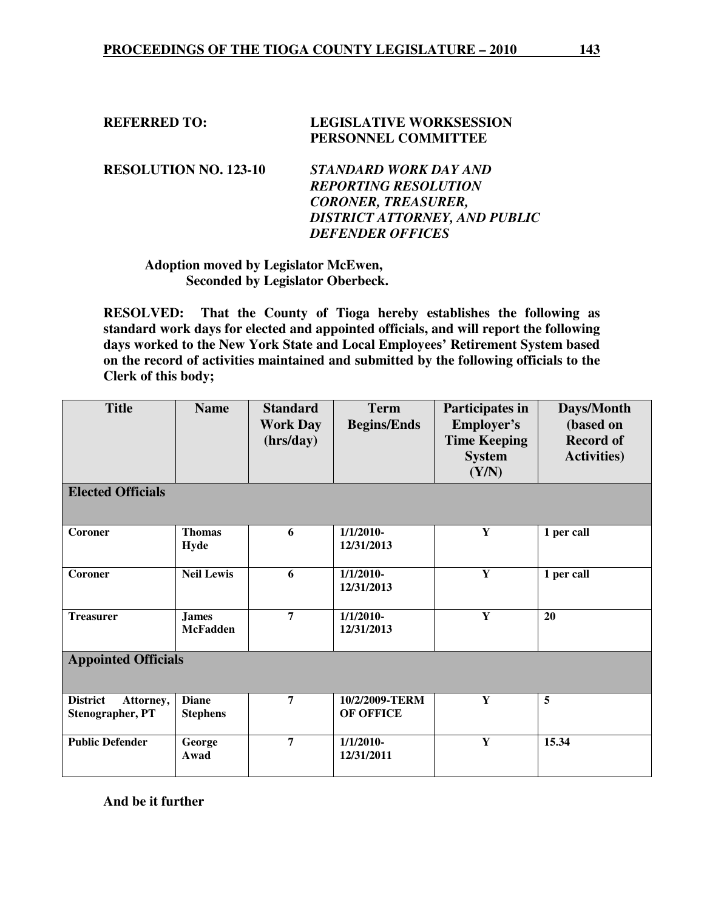| <b>REFERRED TO:</b> | <b>LEGISLATIVE WORKSESSION</b> |  |
|---------------------|--------------------------------|--|
|                     | PERSONNEL COMMITTEE            |  |

**RESOLUTION NO. 123-10** *STANDARD WORK DAY AND REPORTING RESOLUTION CORONER, TREASURER, DISTRICT ATTORNEY, AND PUBLIC DEFENDER OFFICES* 

# **Adoption moved by Legislator McEwen, Seconded by Legislator Oberbeck.**

**RESOLVED: That the County of Tioga hereby establishes the following as standard work days for elected and appointed officials, and will report the following days worked to the New York State and Local Employees' Retirement System based on the record of activities maintained and submitted by the following officials to the Clerk of this body;** 

| <b>Title</b>                                            | <b>Name</b>                     | <b>Standard</b><br><b>Work Day</b><br>(hrs/day) | <b>Term</b><br><b>Begins/Ends</b>  | Participates in<br><b>Employer's</b><br><b>Time Keeping</b><br><b>System</b><br>(Y/N) | Days/Month<br>(based on<br><b>Record of</b><br><b>Activities</b> ) |
|---------------------------------------------------------|---------------------------------|-------------------------------------------------|------------------------------------|---------------------------------------------------------------------------------------|--------------------------------------------------------------------|
| <b>Elected Officials</b>                                |                                 |                                                 |                                    |                                                                                       |                                                                    |
| Coroner                                                 | <b>Thomas</b><br>Hyde           | 6                                               | $1/1/2010-$<br>12/31/2013          | Y                                                                                     | 1 per call                                                         |
| Coroner                                                 | <b>Neil Lewis</b>               | 6                                               | $1/1/2010-$<br>12/31/2013          | $\overline{\mathbf{Y}}$                                                               | 1 per call                                                         |
| <b>Treasurer</b>                                        | <b>James</b><br><b>McFadden</b> | $\overline{7}$                                  | $1/1/2010-$<br>12/31/2013          | Y                                                                                     | 20                                                                 |
| <b>Appointed Officials</b>                              |                                 |                                                 |                                    |                                                                                       |                                                                    |
| <b>District</b><br>Attorney,<br><b>Stenographer, PT</b> | <b>Diane</b><br><b>Stephens</b> | $\overline{7}$                                  | 10/2/2009-TERM<br><b>OF OFFICE</b> | Y                                                                                     | 5                                                                  |
| <b>Public Defender</b>                                  | George<br>Awad                  | $\overline{7}$                                  | $1/1/2010-$<br>12/31/2011          | Y                                                                                     | 15.34                                                              |

**And be it further**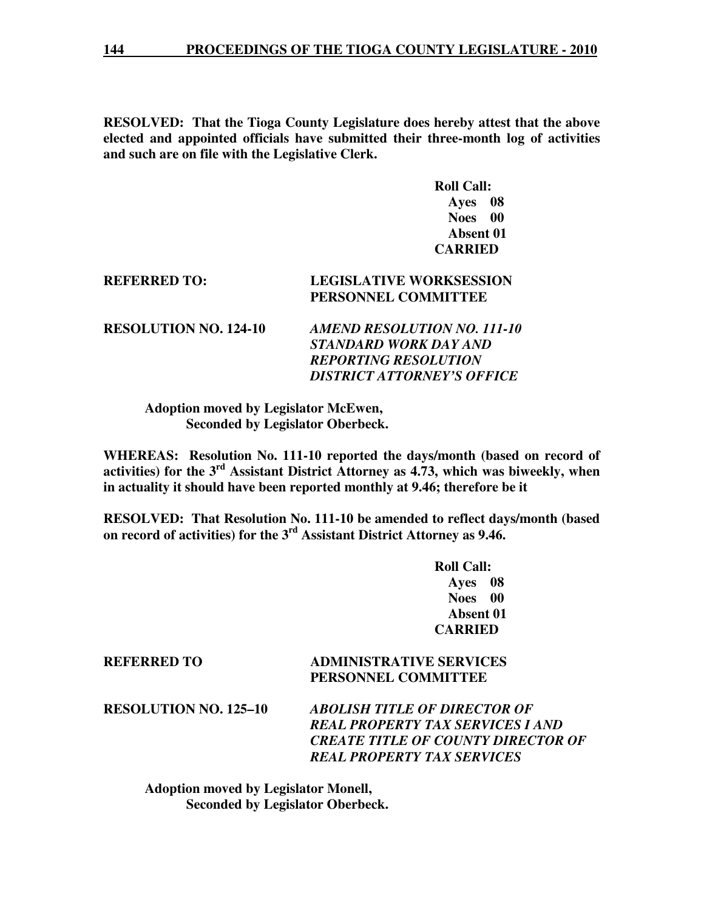**RESOLVED: That the Tioga County Legislature does hereby attest that the above elected and appointed officials have submitted their three-month log of activities and such are on file with the Legislative Clerk.** 

> **Roll Call: Ayes 08 Noes 00 Absent 01 CARRIED**

# **REFERRED TO: LEGISLATIVE WORKSESSION PERSONNEL COMMITTEE**

**RESOLUTION NO. 124-10** *AMEND RESOLUTION NO. 111-10 STANDARD WORK DAY AND REPORTING RESOLUTION DISTRICT ATTORNEY'S OFFICE* 

 **Adoption moved by Legislator McEwen, Seconded by Legislator Oberbeck.** 

**WHEREAS: Resolution No. 111-10 reported the days/month (based on record of activities) for the 3rd Assistant District Attorney as 4.73, which was biweekly, when in actuality it should have been reported monthly at 9.46; therefore be it** 

**RESOLVED: That Resolution No. 111-10 be amended to reflect days/month (based on record of activities) for the 3rd Assistant District Attorney as 9.46.** 

> **Roll Call: Ayes 08 Noes 00 Absent 01 CARRIED**

# **REFERRED TO ADMINISTRATIVE SERVICES PERSONNEL COMMITTEE**

**RESOLUTION NO. 125–10** *ABOLISH TITLE OF DIRECTOR OF REAL PROPERTY TAX SERVICES I AND CREATE TITLE OF COUNTY DIRECTOR OF REAL PROPERTY TAX SERVICES* 

 **Adoption moved by Legislator Monell, Seconded by Legislator Oberbeck.**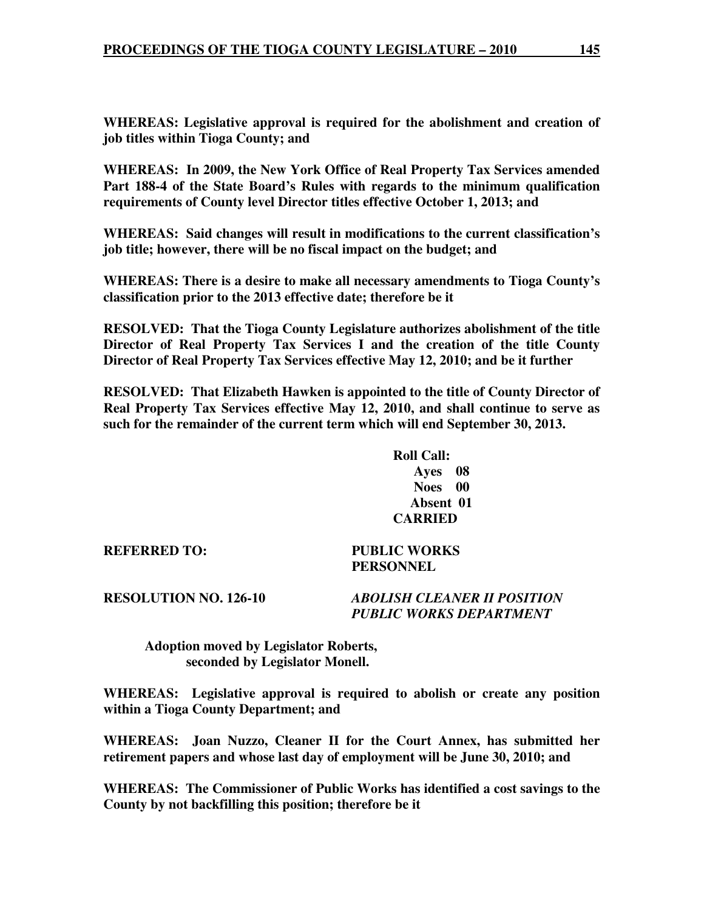**WHEREAS: Legislative approval is required for the abolishment and creation of job titles within Tioga County; and** 

**WHEREAS: In 2009, the New York Office of Real Property Tax Services amended Part 188-4 of the State Board's Rules with regards to the minimum qualification requirements of County level Director titles effective October 1, 2013; and** 

**WHEREAS: Said changes will result in modifications to the current classification's job title; however, there will be no fiscal impact on the budget; and** 

**WHEREAS: There is a desire to make all necessary amendments to Tioga County's classification prior to the 2013 effective date; therefore be it** 

**RESOLVED: That the Tioga County Legislature authorizes abolishment of the title Director of Real Property Tax Services I and the creation of the title County Director of Real Property Tax Services effective May 12, 2010; and be it further** 

**RESOLVED: That Elizabeth Hawken is appointed to the title of County Director of Real Property Tax Services effective May 12, 2010, and shall continue to serve as such for the remainder of the current term which will end September 30, 2013.** 

> **Roll Call: Ayes 08 Noes 00 Absent 01 CARRIED**

**REFERRED TO: PUBLIC WORKS PERSONNEL** 

**RESOLUTION NO. 126-10** *ABOLISH CLEANER II POSITION PUBLIC WORKS DEPARTMENT* 

 **Adoption moved by Legislator Roberts, seconded by Legislator Monell.** 

**WHEREAS: Legislative approval is required to abolish or create any position within a Tioga County Department; and** 

**WHEREAS: Joan Nuzzo, Cleaner II for the Court Annex, has submitted her retirement papers and whose last day of employment will be June 30, 2010; and** 

**WHEREAS: The Commissioner of Public Works has identified a cost savings to the County by not backfilling this position; therefore be it**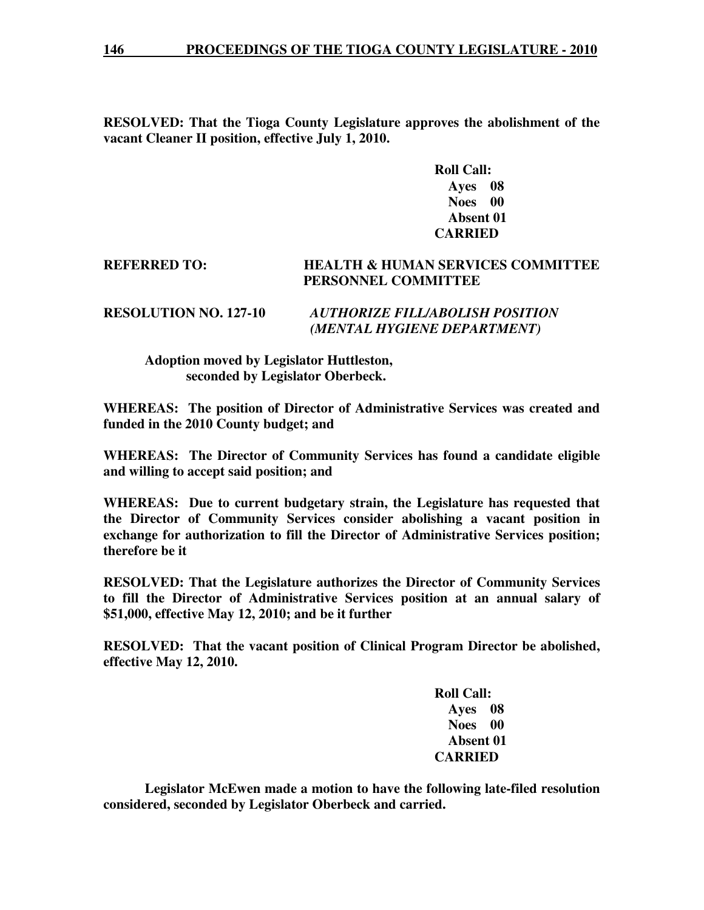**RESOLVED: That the Tioga County Legislature approves the abolishment of the vacant Cleaner II position, effective July 1, 2010.**

> **Roll Call: Ayes 08 Noes 00 Absent 01 CARRIED**

# **REFERRED TO: HEALTH & HUMAN SERVICES COMMITTEE PERSONNEL COMMITTEE**

# **RESOLUTION NO. 127-10** *AUTHORIZE FILL/ABOLISH POSITION (MENTAL HYGIENE DEPARTMENT)*

# **Adoption moved by Legislator Huttleston, seconded by Legislator Oberbeck.**

**WHEREAS: The position of Director of Administrative Services was created and funded in the 2010 County budget; and** 

**WHEREAS: The Director of Community Services has found a candidate eligible and willing to accept said position; and** 

**WHEREAS: Due to current budgetary strain, the Legislature has requested that the Director of Community Services consider abolishing a vacant position in exchange for authorization to fill the Director of Administrative Services position; therefore be it** 

**RESOLVED: That the Legislature authorizes the Director of Community Services to fill the Director of Administrative Services position at an annual salary of \$51,000, effective May 12, 2010; and be it further** 

**RESOLVED: That the vacant position of Clinical Program Director be abolished, effective May 12, 2010.** 

> **Roll Call: Ayes 08 Noes 00 Absent 01 CARRIED**

 **Legislator McEwen made a motion to have the following late-filed resolution considered, seconded by Legislator Oberbeck and carried.**